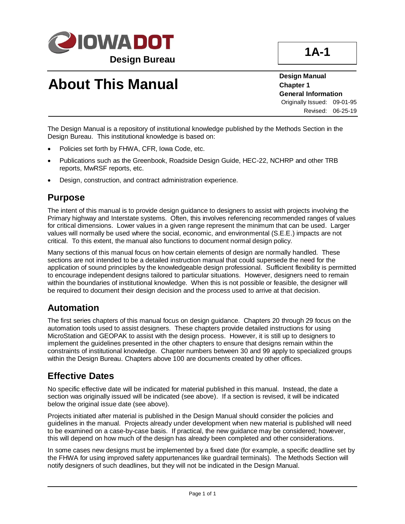

# **About This Manual**

**Design Manual Chapter 1 General Information** Originally Issued: 09-01-95 Revised: 06-25-19

The Design Manual is a repository of institutional knowledge published by the Methods Section in the Design Bureau. This institutional knowledge is based on:

- Policies set forth by FHWA, CFR, Iowa Code, etc.
- Publications such as the Greenbook, Roadside Design Guide, HEC-22, NCHRP and other TRB reports, MwRSF reports, etc.
- Design, construction, and contract administration experience.

#### **Purpose**

The intent of this manual is to provide design guidance to designers to assist with projects involving the Primary highway and Interstate systems. Often, this involves referencing recommended ranges of values for critical dimensions. Lower values in a given range represent the minimum that can be used. Larger values will normally be used where the social, economic, and environmental (S.E.E.) impacts are not critical. To this extent, the manual also functions to document normal design policy.

Many sections of this manual focus on how certain elements of design are normally handled. These sections are not intended to be a detailed instruction manual that could supersede the need for the application of sound principles by the knowledgeable design professional. Sufficient flexibility is permitted to encourage independent designs tailored to particular situations. However, designers need to remain within the boundaries of institutional knowledge. When this is not possible or feasible, the designer will be required to document their design decision and the process used to arrive at that decision.

### **Automation**

The first series chapters of this manual focus on design guidance. Chapters 20 through 29 focus on the automation tools used to assist designers. These chapters provide detailed instructions for using MicroStation and GEOPAK to assist with the design process. However, it is still up to designers to implement the guidelines presented in the other chapters to ensure that designs remain within the constraints of institutional knowledge. Chapter numbers between 30 and 99 apply to specialized groups within the Design Bureau. Chapters above 100 are documents created by other offices.

#### **Effective Dates**

No specific effective date will be indicated for material published in this manual. Instead, the date a section was originally issued will be indicated (see above). If a section is revised, it will be indicated below the original issue date (see above).

Projects initiated after material is published in the Design Manual should consider the policies and guidelines in the manual. Projects already under development when new material is published will need to be examined on a case-by-case basis. If practical, the new guidance may be considered; however, this will depend on how much of the design has already been completed and other considerations.

In some cases new designs must be implemented by a fixed date (for example, a specific deadline set by the FHWA for using improved safety appurtenances like guardrail terminals). The Methods Section will notify designers of such deadlines, but they will not be indicated in the Design Manual.